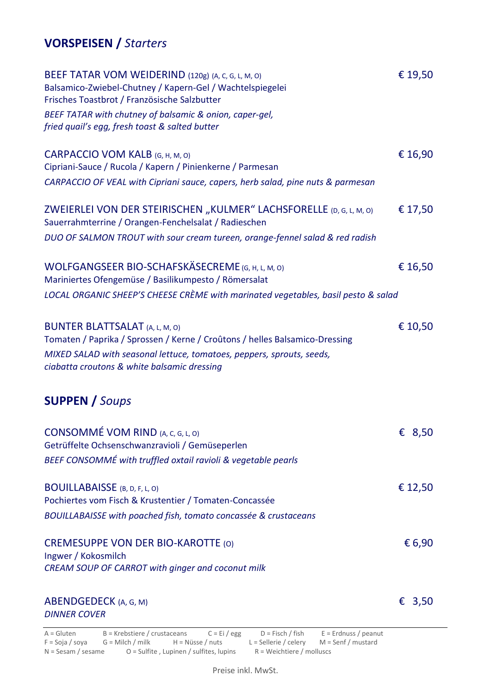## **VORSPEISEN /** *Starters*

| BEEF TATAR VOM WEIDERIND (120g) (A, C, G, L, M, O)<br>Balsamico-Zwiebel-Chutney / Kapern-Gel / Wachtelspiegelei<br>Frisches Toastbrot / Französische Salzbutter | € 19,50 |
|-----------------------------------------------------------------------------------------------------------------------------------------------------------------|---------|
| BEEF TATAR with chutney of balsamic & onion, caper-gel,<br>fried quail's egg, fresh toast & salted butter                                                       |         |
| CARPACCIO VOM KALB (G, H, M, O)<br>Cipriani-Sauce / Rucola / Kapern / Pinienkerne / Parmesan                                                                    | € 16,90 |
| CARPACCIO OF VEAL with Cipriani sauce, capers, herb salad, pine nuts & parmesan                                                                                 |         |
| ZWEIERLEI VON DER STEIRISCHEN "KULMER" LACHSFORELLE (D, G, L, M, O)<br>Sauerrahmterrine / Orangen-Fenchelsalat / Radieschen                                     | € 17,50 |
| DUO OF SALMON TROUT with sour cream tureen, orange-fennel salad & red radish                                                                                    |         |
| WOLFGANGSEER BIO-SCHAFSKÄSECREME (G, H, L, M, O)<br>Mariniertes Ofengemüse / Basilikumpesto / Römersalat                                                        | € 16,50 |
| LOCAL ORGANIC SHEEP'S CHEESE CRÈME with marinated vegetables, basil pesto & salad                                                                               |         |
| <b>BUNTER BLATTSALAT</b> (A, L, M, O)<br>Tomaten / Paprika / Sprossen / Kerne / Croûtons / helles Balsamico-Dressing                                            | € 10,50 |
| MIXED SALAD with seasonal lettuce, tomatoes, peppers, sprouts, seeds,<br>ciabatta croutons & white balsamic dressing                                            |         |
| <b>SUPPEN / Soups</b>                                                                                                                                           |         |
| CONSOMMÉ VOM RIND (A, C, G, L, O)<br>Getrüffelte Ochsenschwanzravioli / Gemüseperlen                                                                            | € 8,50  |
| BEEF CONSOMMÉ with truffled oxtail ravioli & vegetable pearls                                                                                                   |         |
| <b>BOUILLABAISSE</b> (B, D, F, L, O)<br>Pochiertes vom Fisch & Krustentier / Tomaten-Concassée                                                                  | € 12,50 |
| BOUILLABAISSE with poached fish, tomato concassée & crustaceans                                                                                                 |         |
| <b>CREMESUPPE VON DER BIO-KAROTTE (O)</b><br>Ingwer / Kokosmilch<br>CREAM SOUP OF CARROT with ginger and coconut milk                                           | € 6,90  |
|                                                                                                                                                                 |         |
| ABENDGEDECK (A, G, M)<br><b>DINNER COVER</b>                                                                                                                    | € 3,50  |
| $A = Gluten$ B = Krebstiere / crustaceans C = Fi / egg D = Fisch / fish F = Frdnuss / peanut                                                                    |         |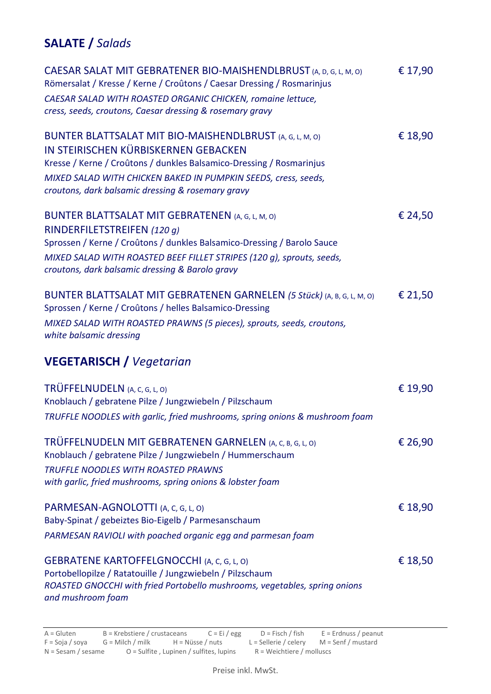## **SALATE /** *Salads*

| CAESAR SALAT MIT GEBRATENER BIO-MAISHENDLBRUST (A, D, G, L, M, O)<br>Römersalat / Kresse / Kerne / Croûtons / Caesar Dressing / Rosmarinjus | € 17,90 |
|---------------------------------------------------------------------------------------------------------------------------------------------|---------|
| CAESAR SALAD WITH ROASTED ORGANIC CHICKEN, romaine lettuce,<br>cress, seeds, croutons, Caesar dressing & rosemary gravy                     |         |
| BUNTER BLATTSALAT MIT BIO-MAISHENDLBRUST (A, G, L, M, O)<br>IN STEIRISCHEN KÜRBISKERNEN GEBACKEN                                            | € 18,90 |
| Kresse / Kerne / Croûtons / dunkles Balsamico-Dressing / Rosmarinjus                                                                        |         |
| MIXED SALAD WITH CHICKEN BAKED IN PUMPKIN SEEDS, cress, seeds,                                                                              |         |
| croutons, dark balsamic dressing & rosemary gravy                                                                                           |         |
| BUNTER BLATTSALAT MIT GEBRATENEN (A, G, L, M, O)                                                                                            | € 24,50 |
| RINDERFILETSTREIFEN (120 g)                                                                                                                 |         |
| Sprossen / Kerne / Croûtons / dunkles Balsamico-Dressing / Barolo Sauce                                                                     |         |
| MIXED SALAD WITH ROASTED BEEF FILLET STRIPES (120 g), sprouts, seeds,<br>croutons, dark balsamic dressing & Barolo gravy                    |         |
| BUNTER BLATTSALAT MIT GEBRATENEN GARNELEN (5 Stück) (A, B, G, L, M, O)                                                                      | € 21,50 |
| Sprossen / Kerne / Croûtons / helles Balsamico-Dressing                                                                                     |         |
| MIXED SALAD WITH ROASTED PRAWNS (5 pieces), sprouts, seeds, croutons,<br>white balsamic dressing                                            |         |
| <b>VEGETARISCH / Vegetarian</b>                                                                                                             |         |
| TRÜFFELNUDELN (A, C, G, L, O)                                                                                                               | € 19,90 |
| Knoblauch / gebratene Pilze / Jungzwiebeln / Pilzschaum                                                                                     |         |
| TRUFFLE NOODLES with garlic, fried mushrooms, spring onions & mushroom foam                                                                 |         |
| TRÜFFELNUDELN MIT GEBRATENEN GARNELEN (A, C, B, G, L, O)                                                                                    | € 26,90 |
| Knoblauch / gebratene Pilze / Jungzwiebeln / Hummerschaum                                                                                   |         |
| TRUFFLE NOODLES WITH ROASTED PRAWNS<br>with garlic, fried mushrooms, spring onions & lobster foam                                           |         |
|                                                                                                                                             |         |
| PARMESAN-AGNOLOTTI (A, C, G, L, O)                                                                                                          | € 18,90 |
| Baby-Spinat / gebeiztes Bio-Eigelb / Parmesanschaum                                                                                         |         |
| PARMESAN RAVIOLI with poached organic egg and parmesan foam                                                                                 |         |
| <b>GEBRATENE KARTOFFELGNOCCHI (A, C, G, L, O)</b>                                                                                           | € 18,50 |
| Portobellopilze / Ratatouille / Jungzwiebeln / Pilzschaum                                                                                   |         |
| ROASTED GNOCCHI with fried Portobello mushrooms, vegetables, spring onions<br>and mushroom foam                                             |         |
|                                                                                                                                             |         |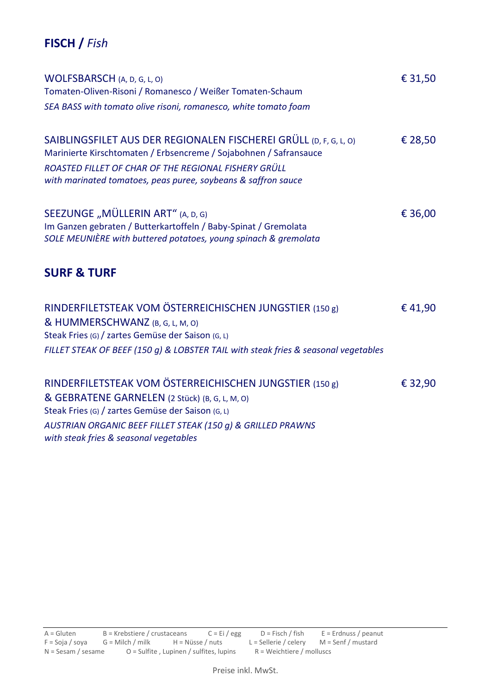## **FISCH /** *Fish*

| WOLFSBARSCH (A, D, G, L, O)<br>Tomaten-Oliven-Risoni / Romanesco / Weißer Tomaten-Schaum                                                                                                                                                                                | € 31,50 |
|-------------------------------------------------------------------------------------------------------------------------------------------------------------------------------------------------------------------------------------------------------------------------|---------|
| SEA BASS with tomato olive risoni, romanesco, white tomato foam                                                                                                                                                                                                         |         |
| SAIBLINGSFILET AUS DER REGIONALEN FISCHEREI GRÜLL (D, F, G, L, O)<br>Marinierte Kirschtomaten / Erbsencreme / Sojabohnen / Safransauce<br>ROASTED FILLET OF CHAR OF THE REGIONAL FISHERY GRÜLL<br>with marinated tomatoes, peas puree, soybeans & saffron sauce         | € 28,50 |
| SEEZUNGE "MÜLLERIN ART" (A, D, G)<br>Im Ganzen gebraten / Butterkartoffeln / Baby-Spinat / Gremolata<br>SOLE MEUNIÈRE with buttered potatoes, young spinach & gremolata                                                                                                 | € 36,00 |
| <b>SURF &amp; TURF</b>                                                                                                                                                                                                                                                  |         |
| RINDERFILETSTEAK VOM ÖSTERREICHISCHEN JUNGSTIER (150 g)<br>& HUMMERSCHWANZ (B, G, L, M, O)<br>Steak Fries (G) / zartes Gemüse der Saison (G, L)<br>FILLET STEAK OF BEEF (150 g) & LOBSTER TAIL with steak fries & seasonal vegetables                                   | € 41,90 |
| RINDERFILETSTEAK VOM ÖSTERREICHISCHEN JUNGSTIER (150 g)<br>& GEBRATENE GARNELEN (2 Stück) (B, G, L, M, O)<br>Steak Fries (G) / zartes Gemüse der Saison (G, L)<br>AUSTRIAN ORGANIC BEEF FILLET STEAK (150 g) & GRILLED PRAWNS<br>with steak fries & seasonal vegetables | € 32,90 |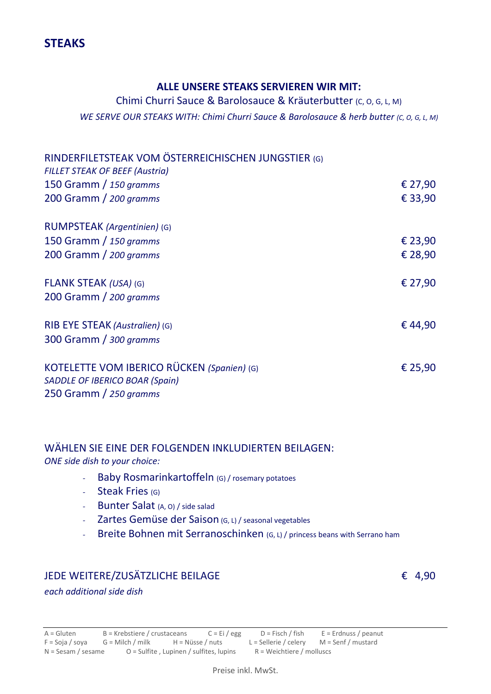#### **ALLE UNSERE STEAKS SERVIEREN WIR MIT:**

## Chimi Churri Sauce & Barolosauce & Kräuterbutter (C, O, G, L, M) *WE SERVE OUR STEAKS WITH: Chimi Churri Sauce & Barolosauce & herb butter (c, o, G, L, M)*

| RINDERFILETSTEAK VOM ÖSTERREICHISCHEN JUNGSTIER (G)<br><b>FILLET STEAK OF BEEF (Austria)</b> |         |
|----------------------------------------------------------------------------------------------|---------|
| 150 Gramm / 150 gramms                                                                       | € 27,90 |
| 200 Gramm / 200 gramms                                                                       | € 33,90 |
| RUMPSTEAK (Argentinien) (G)                                                                  |         |
| 150 Gramm / 150 gramms                                                                       | € 23,90 |
| 200 Gramm / 200 gramms                                                                       | € 28,90 |
| <b>FLANK STEAK (USA) (G)</b>                                                                 | € 27,90 |
| 200 Gramm / 200 gramms                                                                       |         |
| RIB EYE STEAK (Australien) (G)                                                               | €44,90  |
| 300 Gramm / 300 gramms                                                                       |         |
| KOTELETTE VOM IBERICO RÜCKEN (Spanien) (G)                                                   | € 25,90 |
| <b>SADDLE OF IBERICO BOAR (Spain)</b>                                                        |         |
| 250 Gramm / 250 gramms                                                                       |         |

# WÄHLEN SIE EINE DER FOLGENDEN INKLUDIERTEN BEILAGEN:

*ONE side dish to your choice:*

- *-* Baby Rosmarinkartoffeln (G) / rosemary potatoes
- *-* Steak Fries (G)
- *-* Bunter Salat (A, O) / side salad
- *-* Zartes Gemüse der Saison (G, L) / seasonal vegetables
- *-* Breite Bohnen mit Serranoschinken (G, L) / princess beans with Serrano ham

### JEDE WEITERE/ZUSÄTZLICHE BEILAGE € 4,90

*each additional side dish*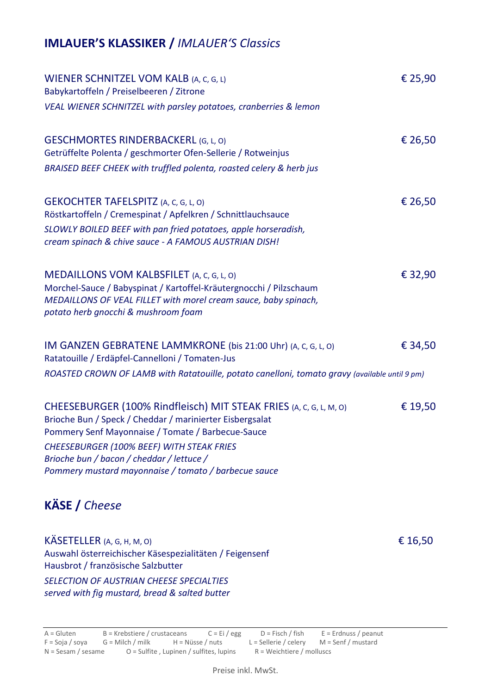## **IMLAUER'S KLASSIKER /** *IMLAUER'S Classics*

| WIENER SCHNITZEL VOM KALB (A, C, G, L)<br>Babykartoffeln / Preiselbeeren / Zitrone                                                                                                                                        | € 25,90 |
|---------------------------------------------------------------------------------------------------------------------------------------------------------------------------------------------------------------------------|---------|
| VEAL WIENER SCHNITZEL with parsley potatoes, cranberries & lemon                                                                                                                                                          |         |
| <b>GESCHMORTES RINDERBACKERL (G, L, O)</b><br>Getrüffelte Polenta / geschmorter Ofen-Sellerie / Rotweinjus                                                                                                                | € 26,50 |
| BRAISED BEEF CHEEK with truffled polenta, roasted celery & herb jus                                                                                                                                                       |         |
| <b>GEKOCHTER TAFELSPITZ</b> (A, C, G, L, O)<br>Röstkartoffeln / Cremespinat / Apfelkren / Schnittlauchsauce                                                                                                               | € 26,50 |
| SLOWLY BOILED BEEF with pan fried potatoes, apple horseradish,<br>cream spinach & chive sauce - A FAMOUS AUSTRIAN DISH!                                                                                                   |         |
| MEDAILLONS VOM KALBSFILET (A, C, G, L, O)<br>Morchel-Sauce / Babyspinat / Kartoffel-Kräutergnocchi / Pilzschaum<br>MEDAILLONS OF VEAL FILLET with morel cream sauce, baby spinach,<br>potato herb gnocchi & mushroom foam | € 32,90 |
| IM GANZEN GEBRATENE LAMMKRONE (bis 21:00 Uhr) (A, C, G, L, O)<br>Ratatouille / Erdäpfel-Cannelloni / Tomaten-Jus                                                                                                          | € 34,50 |
| ROASTED CROWN OF LAMB with Ratatouille, potato canelloni, tomato gravy (available until 9 pm)                                                                                                                             |         |
| CHEESEBURGER (100% Rindfleisch) MIT STEAK FRIES (A, C, G, L, M, O)<br>Brioche Bun / Speck / Cheddar / marinierter Eisbergsalat<br>Pommery Senf Mayonnaise / Tomate / Barbecue-Sauce                                       | € 19,50 |
| CHEESEBURGER (100% BEEF) WITH STEAK FRIES<br>Brioche bun / bacon / cheddar / lettuce /<br>Pommery mustard mayonnaise / tomato / barbecue sauce                                                                            |         |
| <b>KÄSE</b> / Cheese                                                                                                                                                                                                      |         |
| KÄSETELLER (A, G, H, M, O)<br>Auswahl österreichischer Käsespezialitäten / Feigensenf<br>Hausbrot / französische Salzbutter                                                                                               | € 16,50 |
| SELECTION OF AUSTRIAN CHEESE SPECIALTIES<br>served with fig mustard, bread & salted butter                                                                                                                                |         |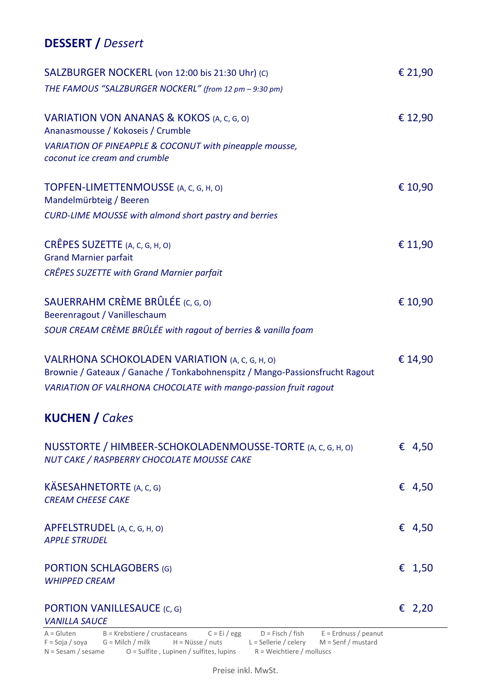## **DESSERT /** *Dessert*

| SALZBURGER NOCKERL (von 12:00 bis 21:30 Uhr) (C)                                                                               | € 21,90 |
|--------------------------------------------------------------------------------------------------------------------------------|---------|
| THE FAMOUS "SALZBURGER NOCKERL" (from 12 pm - 9:30 pm)                                                                         |         |
| VARIATION VON ANANAS & KOKOS (A, C, G, O)<br>Ananasmousse / Kokoseis / Crumble                                                 | € 12,90 |
| VARIATION OF PINEAPPLE & COCONUT with pineapple mousse,<br>coconut ice cream and crumble                                       |         |
| TOPFEN-LIMETTENMOUSSE (A, C, G, H, O)<br>Mandelmürbteig / Beeren                                                               | € 10,90 |
| <b>CURD-LIME MOUSSE with almond short pastry and berries</b>                                                                   |         |
| CRÊPES SUZETTE (A, C, G, H, O)<br><b>Grand Marnier parfait</b>                                                                 | € 11,90 |
| <b>CRÊPES SUZETTE with Grand Marnier parfait</b>                                                                               |         |
| SAUERRAHM CRÈME BRÛLÉE (C, G, O)<br>Beerenragout / Vanilleschaum                                                               | € 10,90 |
| SOUR CREAM CRÈME BRÛLÉE with ragout of berries & vanilla foam                                                                  |         |
| VALRHONA SCHOKOLADEN VARIATION (A, C, G, H, O)<br>Brownie / Gateaux / Ganache / Tonkabohnenspitz / Mango-Passionsfrucht Ragout | € 14,90 |
| VARIATION OF VALRHONA CHOCOLATE with mango-passion fruit ragout                                                                |         |
| <b>KUCHEN</b> / Cakes                                                                                                          |         |
| NUSSTORTE / HIMBEER-SCHOKOLADENMOUSSE-TORTE (A, C, G, H, O)<br>NUT CAKE / RASPBERRY CHOCOLATE MOUSSE CAKE                      | € 4,50  |
| KÄSESAHNETORTE (A, C, G)<br><b>CREAM CHEESE CAKE</b>                                                                           | € 4,50  |
| APFELSTRUDEL (A, C, G, H, O)<br><b>APPLE STRUDEL</b>                                                                           | € 4,50  |
| <b>PORTION SCHLAGOBERS (G)</b><br><b>WHIPPED CREAM</b>                                                                         | € 1,50  |
| <b>PORTION VANILLESAUCE (C, G)</b><br><b>VANILLA SAUCE</b>                                                                     | € 2,20  |
| $A = Gluten$ B = Krebstiere / crustaceans $C = Ei / ege$<br>$D =$ Fisch / fish $E =$ Erdnuss / peanut                          |         |